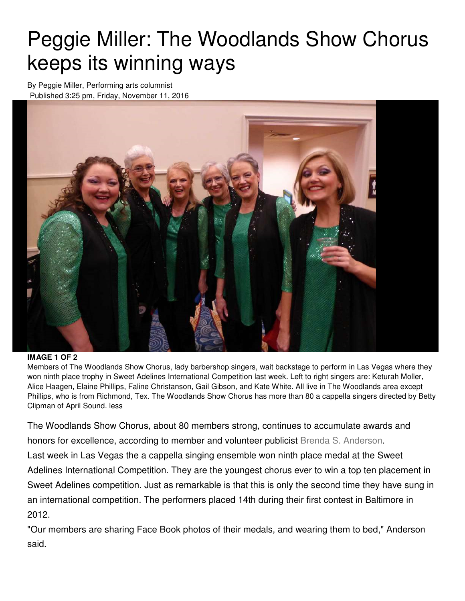## Peggie Miller: The Woodlands Show Chorus keeps its winning ways

By Peggie Miller, Performing arts columnist Published 3:25 pm, Friday, November 11, 2016



## **IMAGE 1 OF 2**

Members of The Woodlands Show Chorus, lady barbershop singers, wait backstage to perform in Las Vegas where they won ninth place trophy in Sweet Adelines International Competition last week. Left to right singers are: Keturah Moller, Alice Haagen, Elaine Phillips, Faline Christanson, Gail Gibson, and Kate White. All live in The Woodlands area except Phillips, who is from Richmond, Tex. The Woodlands Show Chorus has more than 80 a cappella singers directed by Betty Clipman of April Sound. less

The Woodlands Show Chorus, about 80 members strong, continues to accumulate awards and honors for excellence, according to member and volunteer publicist Brenda S. Anderson. Last week in Las Vegas the a cappella singing ensemble won ninth place medal at the Sweet Adelines International Competition. They are the youngest chorus ever to win a top ten placement in Sweet Adelines competition. Just as remarkable is that this is only the second time they have sung in an international competition. The performers placed 14th during their first contest in Baltimore in 2012.

"Our members are sharing Face Book photos of their medals, and wearing them to bed," Anderson said.